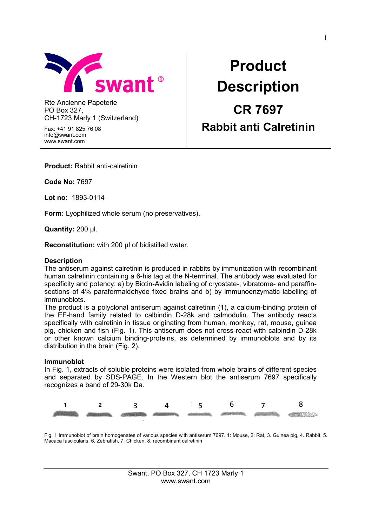

Rte Ancienne Papeterie PO Box 327, CH-1723 Marly 1 (Switzerland)

Fax: +41 91 825 76 08 info@swant.com www.swant.com

# **Product Description CR 7697 Rabbit anti Calretinin**

**Product:** Rabbit anti-calretinin

**Code No:** 7697

**Lot no:** 1893-0114

**Form:** Lyophilized whole serum (no preservatives).

**Quantity:** 200 µl.

**Reconstitution:** with 200 µl of bidistilled water.

#### **Description**

The antiserum against calretinin is produced in rabbits by immunization with recombinant human calretinin containing a 6-his tag at the N-terminal. The antibody was evaluated for specificity and potency: a) by Biotin-Avidin labeling of cryostate-, vibratome- and paraffinsections of 4% paraformaldehyde fixed brains and b) by immunoenzymatic labelling of immunoblots.

The product is a polyclonal antiserum against calretinin (1), a calcium-binding protein of the EF-hand family related to calbindin D-28k and calmodulin. The antibody reacts specifically with calretinin in tissue originating from human, monkey, rat, mouse, guinea pig, chicken and fish (Fig. 1). This antiserum does not cross-react with calbindin D-28k or other known calcium binding-proteins, as determined by immunoblots and by its distribution in the brain (Fig. 2).

#### **Immunoblot**

In Fig. 1, extracts of soluble proteins were isolated from whole brains of different species and separated by SDS-PAGE. In the Western blot the antiserum 7697 specifically recognizes a band of 29-30k Da.



Fig. 1 Immunoblot of brain homogenates of various species with antiserum 7697. 1: Mouse, 2: Rat, 3. Guinea pig, 4. Rabbit, 5. Macaca fascicularis, 6. Zebrafish, 7. Chicken, 8. recombinant calretinin

> Swant, PO Box 327, CH 1723 Marly 1 www.swant.com